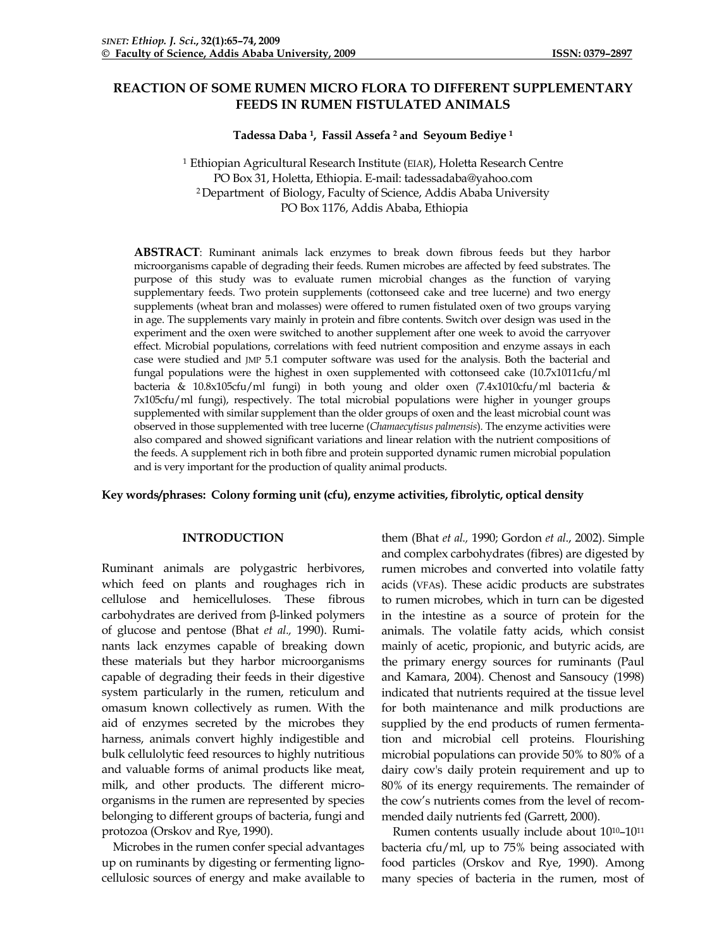# **REACTION OF SOME RUMEN MICRO FLORA TO DIFFERENT SUPPLEMENTARY FEEDS IN RUMEN FISTULATED ANIMALS**

**Tadessa Daba 1, Fassil Assefa 2 and Seyoum Bediye 1**

1 Ethiopian Agricultural Research Institute (EIAR), Holetta Research Centre PO Box 31, Holetta, Ethiopia. E-mail: tadessadaba@yahoo.com 2 Department of Biology, Faculty of Science, Addis Ababa University PO Box 1176, Addis Ababa, Ethiopia

**ABSTRACT**: Ruminant animals lack enzymes to break down fibrous feeds but they harbor microorganisms capable of degrading their feeds. Rumen microbes are affected by feed substrates. The purpose of this study was to evaluate rumen microbial changes as the function of varying supplementary feeds. Two protein supplements (cottonseed cake and tree lucerne) and two energy supplements (wheat bran and molasses) were offered to rumen fistulated oxen of two groups varying in age. The supplements vary mainly in protein and fibre contents. Switch over design was used in the experiment and the oxen were switched to another supplement after one week to avoid the carryover effect. Microbial populations, correlations with feed nutrient composition and enzyme assays in each case were studied and JMP 5.1 computer software was used for the analysis. Both the bacterial and fungal populations were the highest in oxen supplemented with cottonseed cake (10.7x1011cfu/ml bacteria & 10.8x105cfu/ml fungi) in both young and older oxen (7.4x1010cfu/ml bacteria & 7x105cfu/ml fungi), respectively. The total microbial populations were higher in younger groups supplemented with similar supplement than the older groups of oxen and the least microbial count was observed in those supplemented with tree lucerne (*Chamaecytisus palmensis*). The enzyme activities were also compared and showed significant variations and linear relation with the nutrient compositions of the feeds. A supplement rich in both fibre and protein supported dynamic rumen microbial population and is very important for the production of quality animal products.

**Key words/phrases: Colony forming unit (cfu), enzyme activities, fibrolytic, optical density** 

#### **INTRODUCTION**

Ruminant animals are polygastric herbivores, which feed on plants and roughages rich in cellulose and hemicelluloses. These fibrous carbohydrates are derived from β-linked polymers of glucose and pentose (Bhat *et al.,* 1990). Ruminants lack enzymes capable of breaking down these materials but they harbor microorganisms capable of degrading their feeds in their digestive system particularly in the rumen, reticulum and omasum known collectively as rumen. With the aid of enzymes secreted by the microbes they harness, animals convert highly indigestible and bulk cellulolytic feed resources to highly nutritious and valuable forms of animal products like meat, milk, and other products. The different microorganisms in the rumen are represented by species belonging to different groups of bacteria, fungi and protozoa (Orskov and Rye, 1990).

 Microbes in the rumen confer special advantages up on ruminants by digesting or fermenting lignocellulosic sources of energy and make available to

them (Bhat *et al.,* 1990; Gordon *et al*., 2002). Simple and complex carbohydrates (fibres) are digested by rumen microbes and converted into volatile fatty acids (VFAs). These acidic products are substrates to rumen microbes, which in turn can be digested in the intestine as a source of protein for the animals. The volatile fatty acids, which consist mainly of acetic, propionic, and butyric acids, are the primary energy sources for ruminants (Paul and Kamara, 2004). Chenost and Sansoucy (1998) indicated that nutrients required at the tissue level for both maintenance and milk productions are supplied by the end products of rumen fermentation and microbial cell proteins. Flourishing microbial populations can provide 50% to 80% of a dairy cow's daily protein requirement and up to 80% of its energy requirements. The remainder of the cow's nutrients comes from the level of recommended daily nutrients fed (Garrett, 2000).

 Rumen contents usually include about 1010–1011 bacteria cfu/ml, up to 75% being associated with food particles (Orskov and Rye, 1990). Among many species of bacteria in the rumen, most of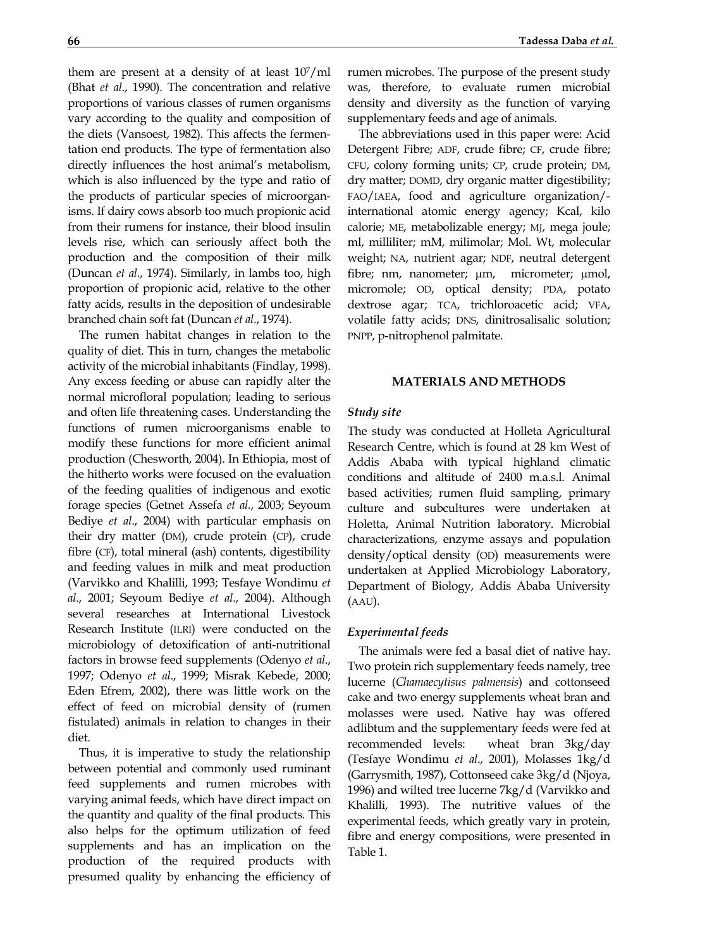them are present at a density of at least 107/ml (Bhat *et al*., 1990). The concentration and relative proportions of various classes of rumen organisms vary according to the quality and composition of the diets (Vansoest, 1982). This affects the fermentation end products. The type of fermentation also directly influences the host animal's metabolism, which is also influenced by the type and ratio of the products of particular species of microorganisms. If dairy cows absorb too much propionic acid from their rumens for instance, their blood insulin levels rise, which can seriously affect both the production and the composition of their milk (Duncan *et al*., 1974). Similarly, in lambs too, high proportion of propionic acid, relative to the other fatty acids, results in the deposition of undesirable branched chain soft fat (Duncan *et al*., 1974).

 The rumen habitat changes in relation to the quality of diet. This in turn, changes the metabolic activity of the microbial inhabitants (Findlay, 1998). Any excess feeding or abuse can rapidly alter the normal microfloral population; leading to serious and often life threatening cases. Understanding the functions of rumen microorganisms enable to modify these functions for more efficient animal production (Chesworth, 2004). In Ethiopia, most of the hitherto works were focused on the evaluation of the feeding qualities of indigenous and exotic forage species (Getnet Assefa *et al.*, 2003; Seyoum Bediye *et al*., 2004) with particular emphasis on their dry matter (DM), crude protein (CP), crude fibre (CF), total mineral (ash) contents, digestibility and feeding values in milk and meat production (Varvikko and Khalilli, 1993; Tesfaye Wondimu *et al*., 2001; Seyoum Bediye *et al*., 2004). Although several researches at International Livestock Research Institute (ILRI) were conducted on the microbiology of detoxification of anti-nutritional factors in browse feed supplements (Odenyo *et al*., 1997; Odenyo *et al*., 1999; Misrak Kebede, 2000; Eden Efrem, 2002), there was little work on the effect of feed on microbial density of (rumen fistulated) animals in relation to changes in their diet.

 Thus, it is imperative to study the relationship between potential and commonly used ruminant feed supplements and rumen microbes with varying animal feeds, which have direct impact on the quantity and quality of the final products. This also helps for the optimum utilization of feed supplements and has an implication on the production of the required products with presumed quality by enhancing the efficiency of

rumen microbes. The purpose of the present study was, therefore, to evaluate rumen microbial density and diversity as the function of varying supplementary feeds and age of animals.

 The abbreviations used in this paper were: Acid Detergent Fibre; ADF, crude fibre; CF, crude fibre; CFU, colony forming units; CP, crude protein; DM, dry matter; DOMD, dry organic matter digestibility; FAO/IAEA, food and agriculture organization/ international atomic energy agency; Kcal, kilo calorie; ME, metabolizable energy; MJ, mega joule; ml, milliliter; mM, milimolar; Mol. Wt, molecular weight; NA, nutrient agar; NDF, neutral detergent fibre; nm, nanometer; μm, micrometer; μmol, micromole; OD, optical density; PDA, potato dextrose agar; TCA, trichloroacetic acid; VFA, volatile fatty acids; DNS, dinitrosalisalic solution; PNPP, p-nitrophenol palmitate.

#### **MATERIALS AND METHODS**

#### *Study site*

The study was conducted at Holleta Agricultural Research Centre, which is found at 28 km West of Addis Ababa with typical highland climatic conditions and altitude of 2400 m.a.s.l. Animal based activities; rumen fluid sampling, primary culture and subcultures were undertaken at Holetta, Animal Nutrition laboratory. Microbial characterizations, enzyme assays and population density/optical density (OD) measurements were undertaken at Applied Microbiology Laboratory, Department of Biology, Addis Ababa University (AAU).

## *Experimental feeds*

 The animals were fed a basal diet of native hay. Two protein rich supplementary feeds namely, tree lucerne (*Chamaecytisus palmensis*) and cottonseed cake and two energy supplements wheat bran and molasses were used. Native hay was offered adlibtum and the supplementary feeds were fed at recommended levels: wheat bran 3kg/day (Tesfaye Wondimu *et al*., 2001), Molasses 1kg/d (Garrysmith, 1987), Cottonseed cake 3kg/d (Njoya, 1996) and wilted tree lucerne 7kg/d (Varvikko and Khalilli, 1993). The nutritive values of the experimental feeds, which greatly vary in protein, fibre and energy compositions, were presented in Table 1.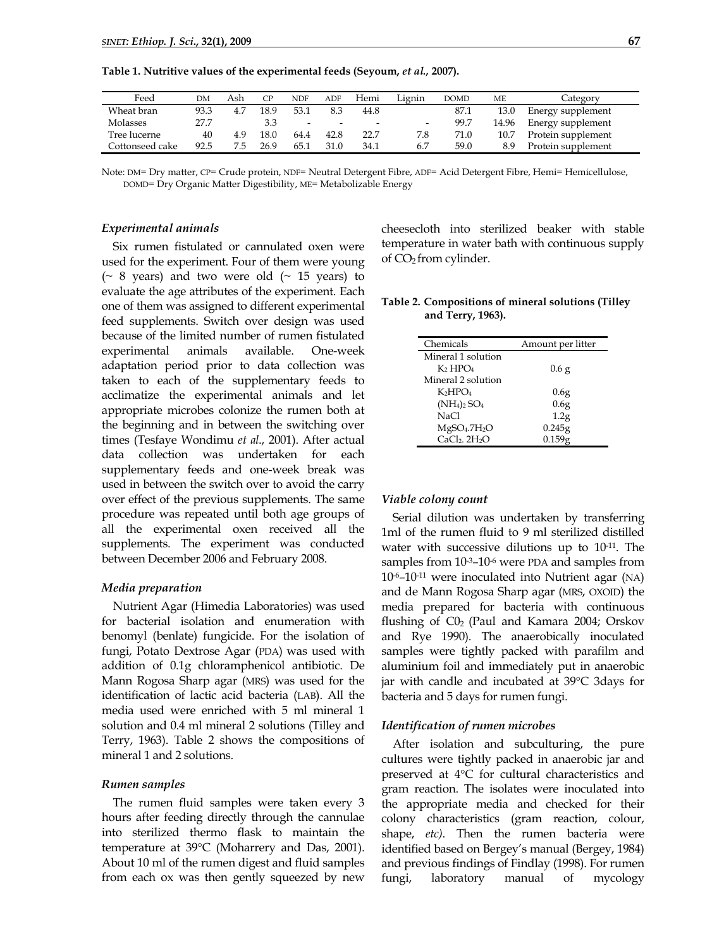| Feed            | DΜ   | Ash | ΩР   | NDF                      | ADF                      | Hemi                     | ⊥ignin                   | <b>DOMD</b> | МE    | Category           |
|-----------------|------|-----|------|--------------------------|--------------------------|--------------------------|--------------------------|-------------|-------|--------------------|
| Wheat bran      | 93.3 |     | 18.9 | 53.1                     | 8.3                      | 44.8                     |                          | 87.1        | 13.0  | Energy supplement  |
| Molasses        | 27.7 |     |      | $\overline{\phantom{0}}$ | $\overline{\phantom{a}}$ | $\overline{\phantom{a}}$ | $\overline{\phantom{a}}$ | 99.7        | 14.96 | Energy supplement  |
| Tree lucerne    | 40   |     | 18.0 | 64.4                     | 42.8                     | 22.7                     | 7.8                      | 71.0        | 10.7  | Protein supplement |
| Cottonseed cake | 92.5 |     | 26.9 | 65.1                     | 31.0                     | 34.1                     | 6.7                      | 59.0        | 8.9   | Protein supplement |

**Table 1. Nutritive values of the experimental feeds (Seyoum,** *et al.,* **2007).** 

Note: DM= Dry matter, CP= Crude protein, NDF= Neutral Detergent Fibre, ADF= Acid Detergent Fibre, Hemi= Hemicellulose, DOMD= Dry Organic Matter Digestibility, ME= Metabolizable Energy

#### *Experimental animals*

 Six rumen fistulated or cannulated oxen were used for the experiment. Four of them were young  $($   $\sim$  8 years) and two were old  $($   $\sim$  15 years) to evaluate the age attributes of the experiment. Each one of them was assigned to different experimental feed supplements. Switch over design was used because of the limited number of rumen fistulated experimental animals available. One-week adaptation period prior to data collection was taken to each of the supplementary feeds to acclimatize the experimental animals and let appropriate microbes colonize the rumen both at the beginning and in between the switching over times (Tesfaye Wondimu *et al*., 2001). After actual data collection was undertaken for each supplementary feeds and one-week break was used in between the switch over to avoid the carry over effect of the previous supplements. The same procedure was repeated until both age groups of all the experimental oxen received all the supplements. The experiment was conducted between December 2006 and February 2008.

#### *Media preparation*

 Nutrient Agar (Himedia Laboratories) was used for bacterial isolation and enumeration with benomyl (benlate) fungicide. For the isolation of fungi, Potato Dextrose Agar (PDA) was used with addition of 0.1g chloramphenicol antibiotic. De Mann Rogosa Sharp agar (MRS) was used for the identification of lactic acid bacteria (LAB). All the media used were enriched with 5 ml mineral 1 solution and 0.4 ml mineral 2 solutions (Tilley and Terry, 1963). Table 2 shows the compositions of mineral 1 and 2 solutions.

## *Rumen samples*

 The rumen fluid samples were taken every 3 hours after feeding directly through the cannulae into sterilized thermo flask to maintain the temperature at 39°C (Moharrery and Das, 2001). About 10 ml of the rumen digest and fluid samples from each ox was then gently squeezed by new

cheesecloth into sterilized beaker with stable temperature in water bath with continuous supply of CO<sub>2</sub> from cylinder.

#### **Table 2. Compositions of mineral solutions (Tilley and Terry, 1963).**

| Amount per litter |
|-------------------|
|                   |
| 0.6 g             |
|                   |
| 0.6g              |
| 0.6g              |
| 1.2g              |
| 0.245g            |
| 0.159g            |
|                   |

# *Viable colony count*

 Serial dilution was undertaken by transferring 1ml of the rumen fluid to 9 ml sterilized distilled water with successive dilutions up to  $10^{-11}$ . The samples from  $10^{-3}$ – $10^{-6}$  were PDA and samples from  $10^{-6}$ – $10^{-11}$  were inoculated into Nutrient agar (NA) and de Mann Rogosa Sharp agar (MRS, OXOID) the media prepared for bacteria with continuous flushing of C02 (Paul and Kamara 2004; Orskov and Rye 1990). The anaerobically inoculated samples were tightly packed with parafilm and aluminium foil and immediately put in anaerobic jar with candle and incubated at 39°C 3days for bacteria and 5 days for rumen fungi.

#### *Identification of rumen microbes*

 After isolation and subculturing, the pure cultures were tightly packed in anaerobic jar and preserved at 4°C for cultural characteristics and gram reaction. The isolates were inoculated into the appropriate media and checked for their colony characteristics (gram reaction, colour, shape, *etc)*. Then the rumen bacteria were identified based on Bergey's manual (Bergey, 1984) and previous findings of Findlay (1998). For rumen fungi, laboratory manual of mycology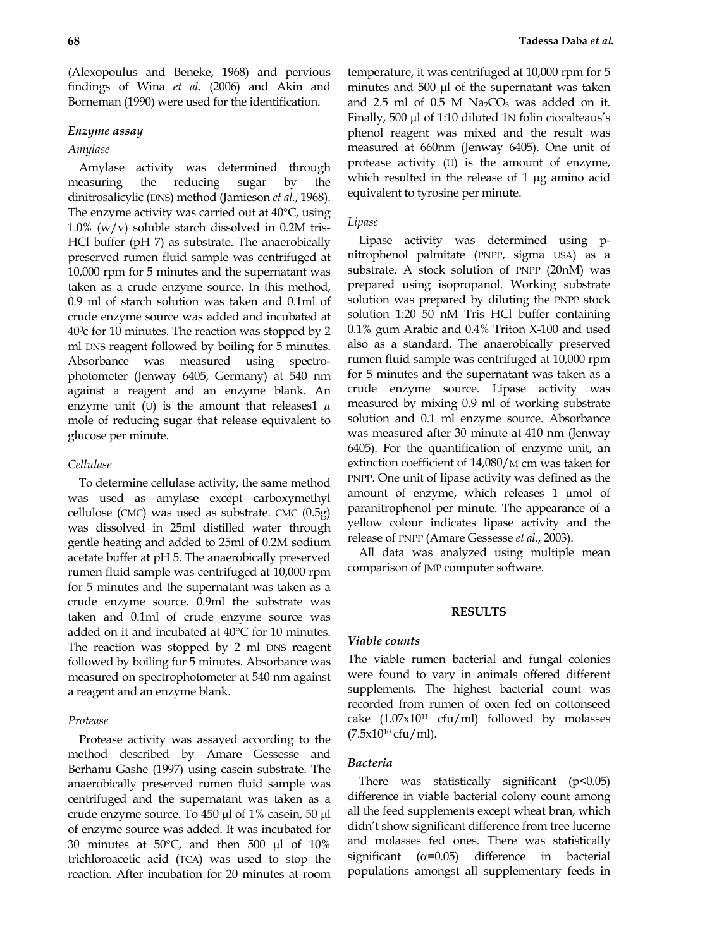(Alexopoulus and Beneke, 1968) and pervious findings of Wina *et al*. (2006) and Akin and Borneman (1990) were used for the identification.

# *Enzyme assay*

## *Amylase*

 Amylase activity was determined through measuring the reducing sugar by the dinitrosalicylic (DNS) method (Jamieson *et al.*, 1968). The enzyme activity was carried out at 40°C, using  $1.0\%$  (w/v) soluble starch dissolved in 0.2M tris-HCl buffer (pH 7) as substrate. The anaerobically 10,000 rpm for 5 minutes and the supernatant was substra taken as a crude enzyme source. In this method, .9 ml of starch solution was taken and 0.1ml of 0 crude enzyme source was added and incubated at preserved rumen fluid sample was centrifuged at  $40^{\circ}$ c for 10 minutes. The reaction was stopped by 2 ml DNS reagent followed by boiling for 5 minutes. Absorbance was measured using spectrophotometer (Jenway 6405, Germany) at 540 nm against a reagent and an enzyme blank. An enzyme unit (U) is the amount that releases1  $\mu$ mole of reducing sugar that release equivalent to glucose per minute.

# *Cellulase*

The reaction was stopped by 2 ml DNS reagent followed by boiling for 5 minutes. Absorbance was measured on spectrophotometer at 540 nm against To determine cellulase activity, the same method was used as amylase except carboxymethyl cellulose (CMC) was used as substrate. CMC (0.5g) was dissolved in 25ml distilled water through gentle heating and added to 25ml of 0.2M sodium acetate buffer at pH 5. The anaerobically preserved rumen fluid sample was centrifuged at 10,000 rpm for 5 minutes and the supernatant was taken as a crude enzyme source. 0.9ml the substrate was taken and 0.1ml of crude enzyme source was added on it and incubated at 40°C for 10 minutes. a reagent and an enzyme blank.

# *Protease*

30 minutes at  $50^{\circ}$ C, and then  $500 \text{ }\mu\text{l}$  of  $10\%$ trichloroacetic acid (TCA) was used to stop the reaction. After incubation for 20 minutes at room Protease activity was assayed according to the method described by Amare Gessesse and Berhanu Gashe (1997) using casein substrate. The anaerobically preserved rumen fluid sample was centrifuged and the supernatant was taken as a crude enzyme source. To 450 μl of 1% casein, 50 μl of enzyme source was added. It was incubated for

temperature, it was centrifuged at 10,000 rpm for 5 minutes and  $500 \mu l$  of the supernatant was taken and  $2.5$  ml of  $0.5$  M Na<sub>2</sub>CO<sub>3</sub> was added on it. Finally, 500 μl of 1:10 diluted 1N folin ciocalteaus's phenol reagent was mixed and the result was measured at 660nm (Jenway 6405). One unit of protease activity (U) is the amount of enzyme, which resulted in the release of 1 μg amino acid equivalent to tyrosine per minute.

# *Lipase*

 Lipase activity was determined using pnitrophenol palmitate (PNPP, sigma USA) as a substrate. A stock solution of PNPP (20nM) was prepared using isopropanol. Working substrate solution was prepared by diluting the PNPP stock solution 1:20 50 nM Tris HCl buffer containing 6405). For the quantification of enzyme unit, an extinction coefficient of 14,080/M cm was taken for PNPP. One unit of lipase activity was defined as the amount of enzyme, which releases 1 umol of paranitrophenol per minute. The appearance of a yellow colour indicates lipase activity and the release of PNPP (Amare Gessesse *et al.,* 2003). 0.1% gum Arabic and 0.4% Triton X-100 and used also as a standard. The anaerobically preserved rumen fluid sample was centrifuged at 10,000 rpm for 5 minutes and the supernatant was taken as a crude enzyme source. Lipase activity was measured by mixing 0.9 ml of working substrate solution and 0.1 ml enzyme source. Absorbance was measured after 30 minute at 410 nm (Jenway

All data was analyzed using multiple mean comparison of JMP computer software.

# **RESULTS**

#### *iable counts V*

The viable rumen bacterial and fungal colonies were found to vary in animals offered different supplements. The highest bacterial count was recorded from rumen of oxen fed on cottonseed cake  $(1.07x10^{11} \text{ cftu/ml})$  followed by molasses (7.5x1010 cfu/ml).

#### *Bacteria*

populations amongst all supplementary feeds in There was statistically significant  $(p<0.05)$ difference in viable bacterial colony count among all the feed supplements except wheat bran, which didn't show significant difference from tree lucerne and molasses fed ones. There was statistically significant ( $\alpha$ =0.05) difference in bacterial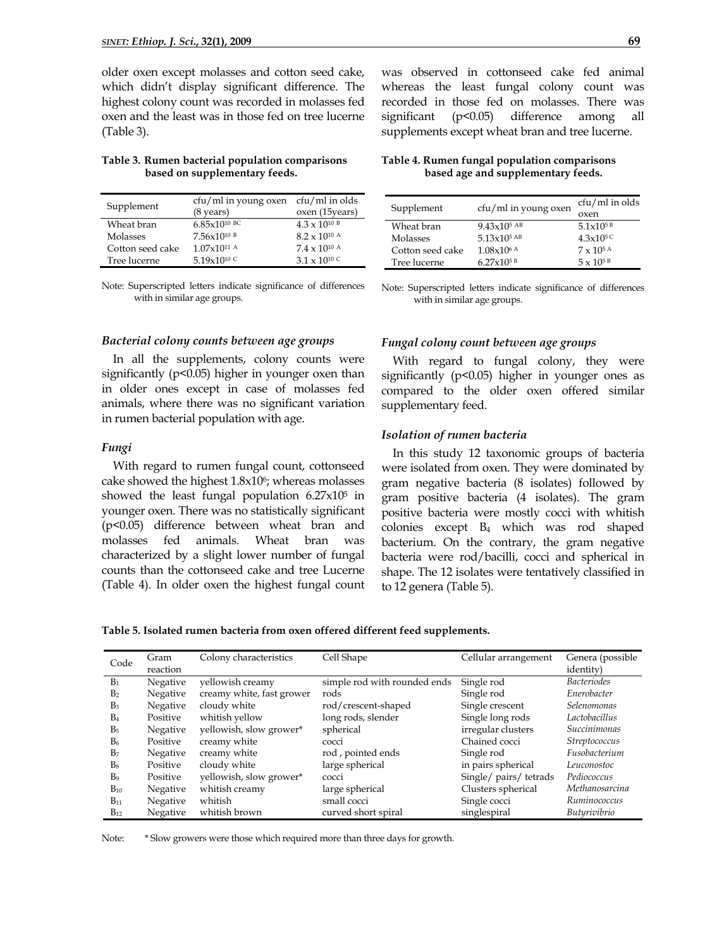older oxen except molasses and cotton seed cake, which didn't display significant difference. The highest colony count was recorded in molasses fed oxen and the least was in those fed on tree lucerne (Table 3).

#### **Table 3. Rumen bacterial population comparisons based on supplementary feeds.**

| Supplement       | cfu/ml in young oxen     | $ctu/ml$ in olds       |  |
|------------------|--------------------------|------------------------|--|
|                  | $(8 \text{ years})$      | oxen (15years)         |  |
| Wheat bran       | $6.85 \times 10^{10}$ BC | $4.3 \times 10^{10}$ B |  |
| Molasses         | $7.56 \times 10^{10}$ B  | $8.2 \times 10^{10}$ A |  |
| Cotton seed cake | $1.07\times10^{11}$ A    | $7.4 \times 10^{10}$ A |  |
| Tree lucerne     | 5.19 $x10^{10}$ C        | $3.1 \times 10^{10}$ C |  |

Note: Superscripted letters indicate significance of differences with in similar age groups.

# *Bacterial colony counts between age groups*

In all the supplements, colony counts were significantly (p<0.05) higher in younger oxen than in older ones except in case of molasses fed animals, where there was no significant variation in rumen bacterial population with age.

#### *Fungi*

 With regard to rumen fungal count, cottonseed cake showed the highest  $1.8x10<sup>6</sup>$ ; whereas molasses showed the least fungal population  $6.27 \times 10^5$  in younger oxen. There was no statistically significant (p<0.05) difference between wheat bran and molasses fed animals. Wheat bran was characterized by a slight lower number of fungal counts than the cottonseed cake and tree Lucerne (Table 4). In older oxen the highest fungal count

whereas the least fungal colony count was recorded in those fed on molasses. There was  $(p<0.05)$  difference among all was observed in cottonseed cake fed animal significan supplements except wheat bran and tree lucerne.

**Table 4. Rumen fungal population comparisons based age and supplementary feeds.** 

| Supplement       | cfu/ml in young oxen   | $ctu/ml$ in olds                 |  |
|------------------|------------------------|----------------------------------|--|
|                  |                        | oxen                             |  |
| Wheat bran       | $9.43x105$ AB          | $5.1 \times 10^{5}$ <sup>B</sup> |  |
| Molasses         | $5.13x105$ AB          | 4.3x105c                         |  |
| Cotton seed cake | 1.08x10 <sup>6 A</sup> | $7 \times 10^{5}$ A              |  |
| Tree lucerne     | $6.27 \times 10^{5}$ B | $5 \times 10^{5}$ B              |  |

Note: Superscripted letters indicate significance of differences with in similar age groups.

#### *Fungal colony count between age groups*

 With regard to fungal colony, they were significantly  $(p<0.05)$  higher in younger ones as compared to the older oxen offered similar supplementary feed.

#### *n of rumen bacteria Isolatio*

 In this study 12 taxonomic groups of bacteria were isolated from oxen. They were dominated by gram negative bacteria (8 isolates) followed by gram positive bacteria (4 isolates). The gram positive bacteria were mostly cocci with whitish colonies except B4 which was rod shaped bacterium. On the contrary, the gram negative bacteria were rod/bacilli, cocci and spherical in shape. The 12 isolates were tentatively classified in to 12 genera (Table 5).

Table 5. Isolated rumen bacteria from oxen offered different feed supplements.

| Code           | Gram     | Colony characteristics    | Cell Shape                   | Cellular arrangement   | Genera (possible   |
|----------------|----------|---------------------------|------------------------------|------------------------|--------------------|
|                | reaction |                           |                              |                        | <i>identity</i> )  |
| $B_1$          | Negative | yellowish creamy          | simple rod with rounded ends | Single rod             | <b>Bacteriodes</b> |
| B <sub>2</sub> | Negative | creamy white, fast grower | rods                         | Single rod             | Enerobacter        |
| B <sub>3</sub> | Negative | cloudy white              | rod/crescent-shaped          | Single crescent        | Selenomonas        |
| B <sub>4</sub> | Positive | whitish yellow            | long rods, slender           | Single long rods       | Lactobacillus      |
| B <sub>5</sub> | Negative | yellowish, slow grower*   | spherical                    | irregular clusters     | Succinimonas       |
| B <sub>6</sub> | Positive | creamy white              | cocci                        | Chained cocci          | Streptococcus      |
| B <sub>7</sub> | Negative | creamy white              | rod, pointed ends            | Single rod             | Fusobacterium      |
| Bs             | Positive | cloudy white              | large spherical              | in pairs spherical     | Leuconostoc        |
| B <sub>9</sub> | Positive | yellowish, slow grower*   | cocci                        | Single/ pairs/ tetrads | Pediococcus        |
| $B_{10}$       | Negative | whitish creamy            | large spherical              | Clusters spherical     | Methanosarcina     |
| $B_{11}$       | Negative | whitish                   | small cocci                  | Single cocci           | Ruminococcus       |
| $B_{12}$       | Negative | whitish brown             | curved short spiral          | singlespiral           | Butyrivibrio       |

Note: \* Slow growers were those which required more than three days for growth.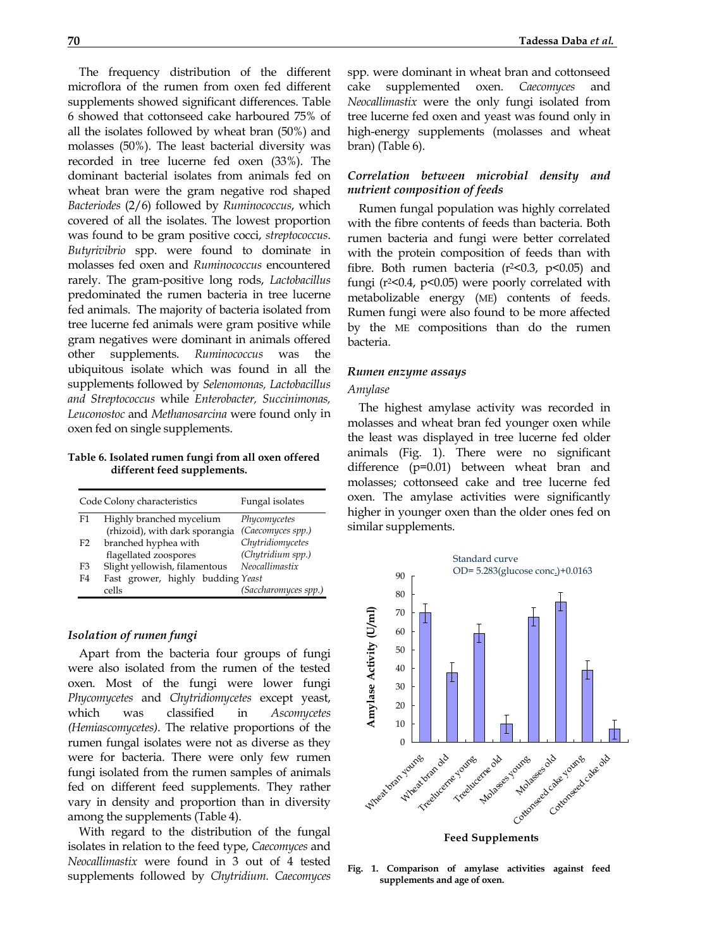The frequency distribution of the different recorded in tree lucerne fed oxen (33%). The dominant bacterial isolates from animals fed on wheat bran were the gram negative rod shaped supplements followed by Selenomonas, Lactobacillus and *Streptococcus* while *Enterobacter*, *Succinimonas*, Leuconostoc and Methanosarcina were found only in xen fed on single supplements. o microflora of the rumen from oxen fed different supplements showed significant differences. Table 6 showed that cottonseed cake harboured 75% of all the isolates followed by wheat bran (50%) and molasses (50%). The least bacterial diversity was *Bacteriodes* (2/6) followed by *Ruminococcus*, which covered of all the isolates. The lowest proportion was found to be gram positive cocci, *streptococcus*. *Butyrivibrio* spp. were found to dominate in molasses fed oxen and *Ruminococcus* encountered rarely. The gram-positive long rods, *Lactobacillus* predominated the rumen bacteria in tree lucerne fed animals. The majority of bacteria isolated from tree lucerne fed animals were gram positive while gram negatives were dominant in animals offered other supplements. *Ruminococcus* was the ubiquitous isolate which was found in all the

Table 6. Isolated rumen fungi from all oxen offered different feed supplements.

|                | Code Colony characteristics       | Fungal isolates      |  |  |
|----------------|-----------------------------------|----------------------|--|--|
| F1             | Highly branched mycelium          | Phycomycetes         |  |  |
|                | (rhizoid), with dark sporangia    | (Caecomyces spp.)    |  |  |
| F <sub>2</sub> | branched hyphea with              | Chytridiomycetes     |  |  |
|                | flagellated zoospores             | (Chytridium spp.)    |  |  |
| F3             | Slight yellowish, filamentous     | Neocallimastix       |  |  |
| F4             | Fast grower, highly budding Yeast |                      |  |  |
|                | cells                             | (Saccharomyces spp.) |  |  |

# *Isolation of rumen fungi*

 Apart from the bacteria four groups of fungi were also isolated from the rumen of the tested oxen. Most of the fungi were lower fungi Phycomycetes and *Chytridiomycetes* except yeast, rumen fungal isolates were not as diverse as they were for bacteria. There were only few rumen fed on different feed supplements. They rather vary in density and proportion than in diversity among the supplements (Table 4). which was classified in *Ascomycetes (Hemiascomycetes)*. The relative proportions of the fungi isolated from the rumen samples of animals

With regard to the distribution of the fungal isolates in relation to the feed type, *Caecomyces* and Neocallimastix were found in 3 out of 4 tested supplements followed by *Chytridium. Caecomyces* 

spp. were dominant in wheat bran and cottonseed cake supplemented oxen. *Caecomyces* and *Neocallimastix* were the only fungi isolated from tree lucerne fed oxen and yeast was found only in high-energy supplements (molasses and wheat bran) (Table 6).

# *Correlation between microbial density and nutrient composition of feeds*

rumen bacteria and fungi were better correlated with the protein composition of feeds than with fibre. Both rumen bacteria  $(r^2<0.3, p<0.05)$  and fungi ( $r^2$ <0.4,  $p$ <0.05) were poorly correlated with metabolizable energy (ME) contents of feeds. Rumen fungi were also found to be more affected by the ME compositions than do the rumen b acteria. Rumen fungal population was highly correlated with the fibre contents of feeds than bacteria. Both

# *e as Rumen enzym says*

# *Amylase*

The highest amylase activity was recorded in molasses and wheat bran fed younger oxen while animals (Fig. 1). There were no significant higher in younger oxen than the older ones fed on similar supplements. the least was displayed in tree lucerne fed older difference (p=0.01) between wheat bran and molasses; cottonseed cake and tree lucerne fed oxen. The amylase activities were significantly



Fig. 1. Comparison of amylase activities against feed supplements and age of oxen.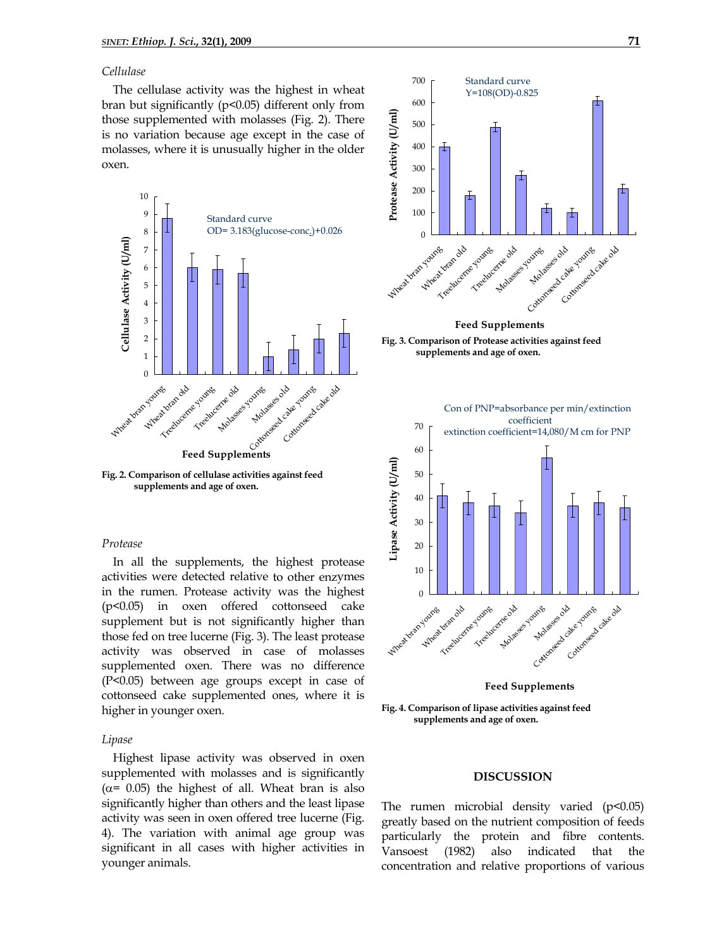#### *Cellulase*

The cellulase activity was the highest in wheat bran but significantly  $(p< 0.05)$  different only from those supplemented with molasses (Fig. 2). There is no variation because age except in the case of molasses, where it is unusually higher in the older oxen.



**Fig. 2. Comparison of cellulase activities against feed supplements and age of oxen.**

#### *Protease*

activities were detected relative to other enzymes in the rumen. Protease activity was the highest (p<0.05) in oxen offered cottonseed cake supplement but is not significantly higher than those fed on tree lucerne (Fig. 3). The least protease activity was observed in case of molasses supplemented oxen. There was no difference (P<0.05) between age groups except in case of cottonseed cake supplemented ones, where it is higher in younger oxen. In all the supplements, the highest protease

# *Lipase*

 Highest lipase activity was observed in oxen supplemented with molasses and is significantly ( $\alpha$ = 0.05) the highest of all. Wheat bran is also significantly higher than others and the least lipase activity was seen in oxen offered tree lucerne (Fig. 4). The variation with animal age group was significant in all cases with higher activities in younger animals.











# **DISCUSSION**

The rumen microbial density varied  $(p<0.05)$ greatly based on the nutrient composition of feeds particularly the protein and fibre contents. Vansoest (1982) also indicated that the concentration and relative proportions of various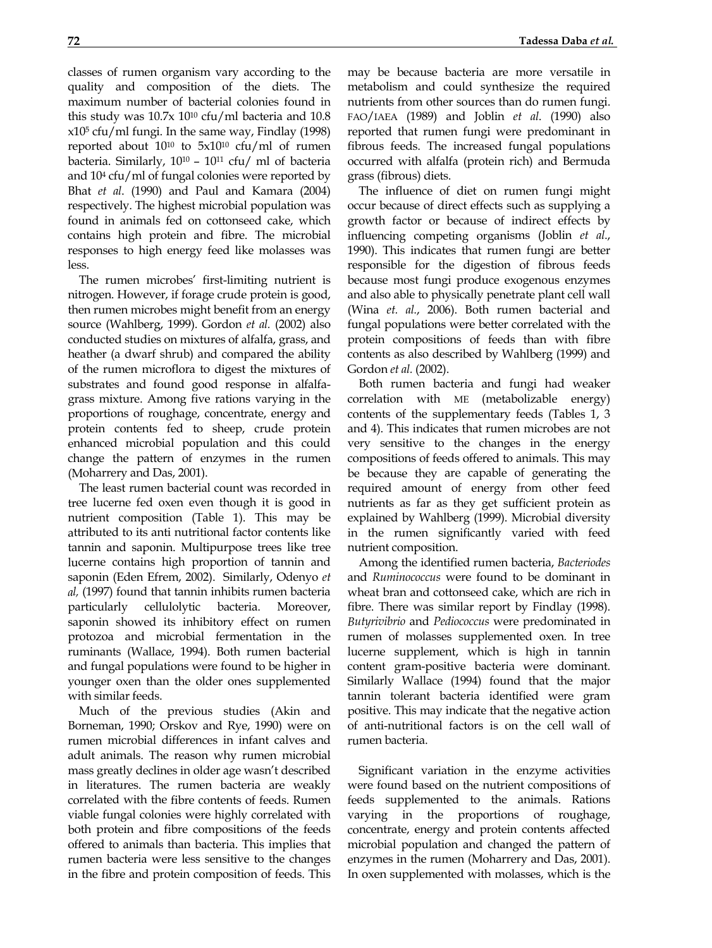classes of rumen organism vary according to the quality and composition of the diets. The maximum number of bacterial colonies found in this study was  $10.7x$   $10^{10}$  cfu/ml bacteria and  $10.8$  $x10<sup>5</sup>$  cfu/ml fungi. In the same way, Findlay (1998) reported about 1010 to 5x1010 cfu/ml of rumen bacteria. Similarly, 1010 – 1011 cfu/ ml of bacteria and 104 cfu/ml of fungal colonies were reported by Bhat *et al*. (1990) and Paul and Kamara (2004) respectively. The highest microbial population was found in animals fed on cottonseed cake, which contains high protein and fibre. The microbial responses to high energy feed like molasses was less.

The rumen microbes' first-limiting nutrient is nitrogen. However, if forage crude protein is good, then rumen microbes might benefit from an energy source (Wahlberg, 1999). Gordon *et al.* (2002) also conducted studies on mixtures of alfalfa, grass, and heather (a dwarf shrub) and compared the ability of the rumen microflora to digest the mixtures of substrates and found good response in alfalfagrass mixture. Among five rations varying in the proportions of roughage, concentrate, energy and protein contents fed to sheep, crude protein enhanced microbial population and this could change the pattern of enzymes in the rumen (Moharrery and Das, 2001).

The least rumen bacterial count was recorded in tree lucerne fed oxen even though it is good in nutrient composition (Table 1). This may be attributed to its anti nutritional factor contents like tannin and saponin. Multipurpose trees like tree lucerne contains high proportion of tannin and aponin (Eden Efrem, 2002). Similarly, Odenyo *et*  s *l,* (1997) found that tannin inhibits rumen bacteria *a* protozoa and microbial fermentation in the particularly cellulolytic bacteria. Moreover, saponin showed its inhibitory effect on rumen ruminants (Wallace, 1994). Both rumen bacterial and fungal populations were found to be higher in younger oxen than the older ones supplemented with similar feeds.

rumen microbial differences in infant calves and adult animals. The reason why rumen microbial mass greatly declines in older age wasn't described in literatures. The rumen bacteria are weakly correlated with the fibre contents of feeds. Rumen viable fungal colonies were highly correlated with both protein and fibre compositions of the feeds offered to animals than bacteria. This implies that rumen bacteria were less sensitive to the changes in the fibre and protein composition of feeds. This Much of the previous studies (Akin and Borneman, 1990; Orskov and Rye, 1990) were on

may be because bacteria are more versatile in metabolism and could synthesize the required nutrients from other sources than do rumen fungi. O/IAEA (1989) and Joblin *et al*. (1990) also FA reported that rumen fungi were predominant in fibrous feeds. The increased fungal populations ccurred with alfalfa (protein rich) and Bermuda o grass (fibrous) diets.

The influence of diet on rumen fungi might occur because of direct effects such as supplying a growth factor or because of indirect effects by influencing competing organisms (Joblin et al., 990). This indicates that rumen fungi are better 1 responsible for the digestion of fibrous feeds because most fungi produce exogenous enzymes and also able to physically penetrate plant cell wall (Wina *et. al.*, 2006). Both rumen bacterial and fungal populations were better correlated with the protein compositions of feeds than with fibre contents as also described by Wahlberg (1999) and Gordon *et al.* (2002).

compositions of feeds offered to animals. This may be because they are capable of generating the required amount of energy from other feed Both rumen bacteria and fungi had weaker correlation with ME (metabolizable energy) contents of the supplementary feeds (Tables 1, 3 and 4). This indicates that rumen microbes are not very sensitive to the changes in the energy nutrients as far as they get sufficient protein as explained by Wahlberg (1999). Microbial diversity in the rumen significantly varied with feed nutrient composition.

fibre. There was similar report by Findlay (1998). Butyrivibrio and Pediococcus were predominated in rumen of molasses supplemented oxen. In tree lucerne supplement, which is high in tannin content gram-positive bacteria were dominant. Similarly Wallace (1994) found that the major tannin tolerant bacteria identified were gram positive. This may indicate that the negative action of anti-nutritional factors is on the cell wall of rumen bacteria. Among the identified rumen bacteria, *Bacteriodes* and *Ruminococcus* were found to be dominant in wheat bran and cottonseed cake, which are rich in

Significant variation in the enzyme activities were found based on the nutrient compositions of feeds supplemented to the animals. Rations varying in the proportions of roughage, concentrate, energy and protein contents affected microbial population and changed the pattern of enzymes in the rumen (Moharrery and Das, 2001). In oxen supplemented with molasses, which is the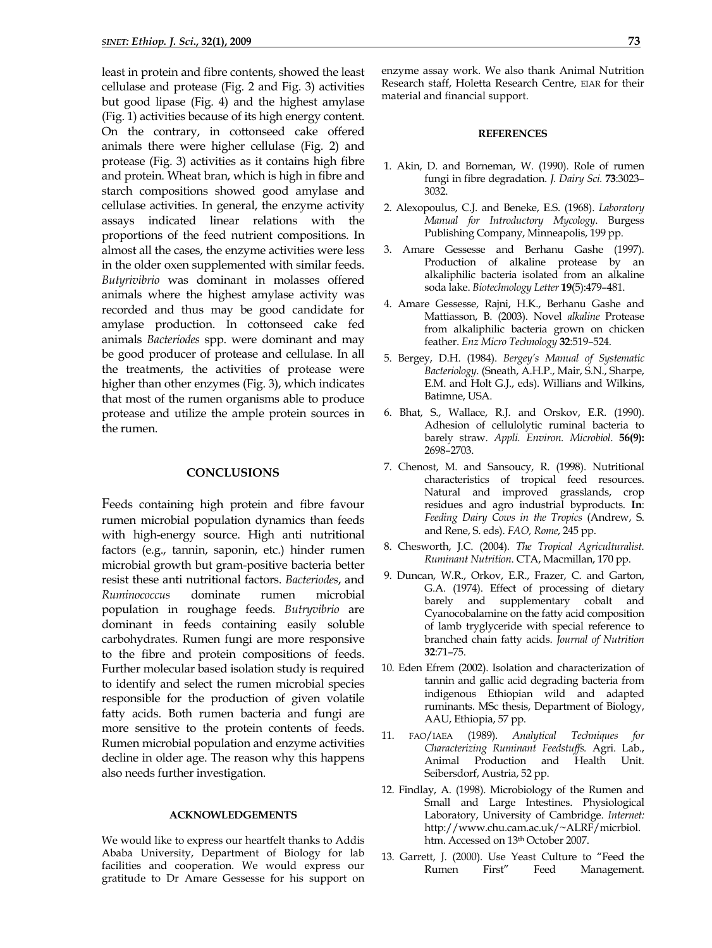least in protein and fibre contents, showed the least cellulase and protease (Fig. 2 and Fig. 3) activities but good lipase (Fig. 4) and the highest amylase (Fig. 1) activities because of its high energy content. On the contrary, in cottonseed cake offered animals there were higher cellulase (Fig. 2) and protease (Fig. 3) activities as it contains high fibre and protein. Wheat bran, which is high in fibre and starch compositions showed good amylase and ellulase activities. In general, the enzyme activity c assays indicated linear relations with the proportions of the feed nutrient compositions. In lmost all the cases, the enzyme activities were less a in the older oxen supplemented with similar feeds. Butyrivibrio was dominant in molasses offered nimals where the highest amylase activity was a recorded and thus may be good candidate for mylase production. In cottonseed cake fed a animals *Bacteriodes* spp. were dominant and may be good producer of protease and cellulase. In all the treatments, the activities of protease were higher than other enzymes (Fig. 3), which indicates that most of the rumen organisms able to produce protease and utilize the ample protein sources in the rumen.

# **CONCLUSIONS**

Feeds containing high protein and fibre favour rumen microbial population dynamics than feeds with high-energy source. High anti nutritional factors (e.g., tannin, saponin, etc.) hinder rumen microbial growth but gram-positive bacteria better resist these anti nutritional factors. *Bacteriodes*, and *Ruminococcus* dominate rumen microbial population in roughage feeds. *Butryvibrio* are dominant in feeds containing easily soluble carbohydrates. Rumen fungi are more responsive to the fibre and protein compositions of feeds. Further molecular based isolation study is required to identify and select the rumen microbial species responsible for the production of given volatile fatty acids. Both rumen bacteria and fungi are more sensitive to the protein contents of feeds. Rumen microbial population and enzyme activities decline in older age. The reason why this happens also needs further investigation.

## **ACKNOWLEDGEMENTS**

We would like to express our heartfelt thanks to Addis Ababa University, Department of Biology for lab facilities and cooperation. We would express our gratitude to Dr Amare Gessesse for his support on

enzyme assay work. We also thank Animal Nutrition Research staff, Holetta Research Centre, EIAR for their material and financial support.

#### **REFERENCES**

- 1. Akin, D. and Borneman, W. (1990). Role of rumen fungi in fibre degradation. *J. Dairy Sci.* **73**:3023– 3032.
- 2. Alexopoulus, C.J. and Beneke, E.S. (1968). *Laboratory Manual for Introductory Mycology*. Burgess Publishing Company, Minneapolis, 199 pp.
- 3. Amare Gessesse and Berhanu Gashe (1997). Production of alkaline protease by an alkaliphilic bacteria isolated from an alkaline soda lake. *Biotechnology Letter* **19**(5):479–481.
- 4. Amare Gessesse, Rajni, H.K., Berhanu Gashe and Mattiasson, B. (2003). Novel *alkaline* Protease from alkaliphilic bacteria grown on chicken feather. *Enz Micro Technology* **32**:519–524.
- 5. Bergey, D.H. (1984). *Bergey's Manual of Systematic Bacteriology*. (Sneath, A.H.P., Mair, S.N., Sharpe, E.M. and Holt G.J., eds). Willians and Wilkins, Batimne, USA.
- Adhesion of cellulolytic ruminal bacteria to 6. Bhat, S., Wallace, R.J. and Orskov, E.R. (1990). barely straw. *Appli. Environ. Microbiol*. **56(9):** 2698–2703.
- 7. Chenost, M. and Sansoucy, R. (1998). Nutritional characteristics of tropical feed resources. Natural and improved grasslands, crop residues and agro industrial byproducts. **In**: *Feeding Dairy Cows in the Tropics* (Andrew, S. and Rene, S. eds). *FAO, Rome*, 245 pp.
- 8. Chesworth, J.C. (2004). *The Tropical Agriculturalist. Ruminant Nutrition*. CTA, Macmillan, 170 pp.
- 9. Duncan, W.R., Orkov, E.R., Frazer, C. and Garton, G.A. (1974). Effect of processing of dietary barely and supplementary cobalt and Cyanocobalamine on the fatty acid composition of lamb tryglyceride with special reference to branched chain fatty acids. *Journal of Nutrition*  **32**:71–75.
- 10. Eden Efrem (2002). Isolation and characterization of tannin and gallic acid degrading bacteria from indigenous Ethiopian wild and adapted ruminants. MSc thesis, Department of Biology, AAU, Ethiopia, 57 pp.
- 11. FAO/IAEA (1989). *Analytical Techniques for Characterizing Ruminant Feedstuffs.* Agri. Lab., Animal Production and Health Unit. Seibersdorf, Austria, 52 pp.
- 12. Findlay, A. (1998). Microbiology of the Rumen and Small and Large Intestines. Physiological Laboratory, University of Cambridge. *Internet:*  http://www.chu.cam.ac.uk/~ALRF/micrbiol. htm. Accessed on 13th October 2007.
- 13. Garrett, J. (2000). Use Yeast Culture to "Feed the Rumen First" Feed Management.